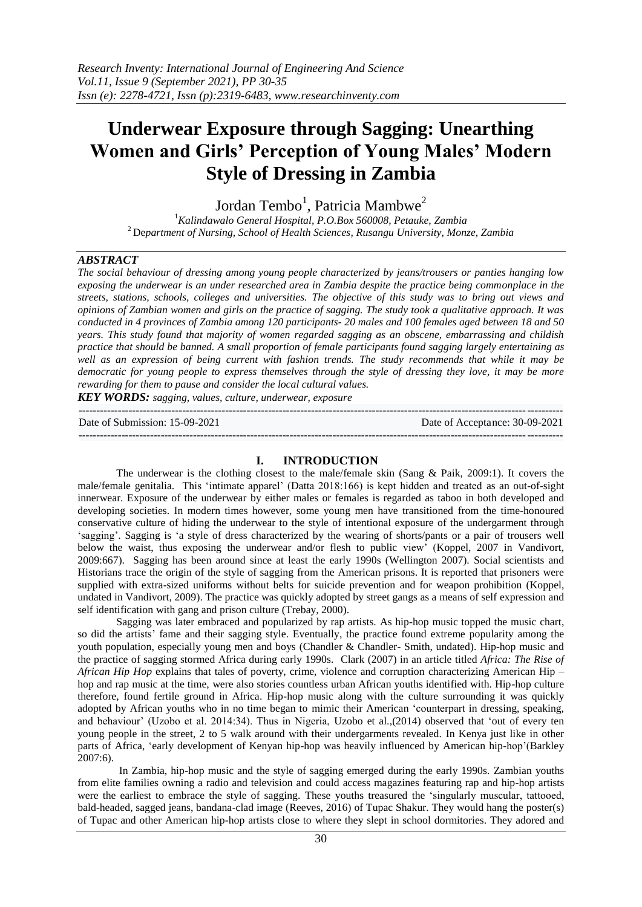# **Underwear Exposure through Sagging: Unearthing Women and Girls' Perception of Young Males' Modern Style of Dressing in Zambia**

Jordan Tembo<sup>1</sup>, Patricia Mambwe<sup>2</sup>

<sup>1</sup>*Kalindawalo General Hospital, P.O.Box 560008, Petauke, Zambia* <sup>2</sup>De*partment of Nursing, School of Health Sciences, Rusangu University, Monze, Zambia*

#### *ABSTRACT*

*The social behaviour of dressing among young people characterized by jeans/trousers or panties hanging low exposing the underwear is an under researched area in Zambia despite the practice being commonplace in the streets, stations, schools, colleges and universities. The objective of this study was to bring out views and opinions of Zambian women and girls on the practice of sagging. The study took a qualitative approach. It was conducted in 4 provinces of Zambia among 120 participants- 20 males and 100 females aged between 18 and 50 years. This study found that majority of women regarded sagging as an obscene, embarrassing and childish practice that should be banned. A small proportion of female participants found sagging largely entertaining as well as an expression of being current with fashion trends. The study recommends that while it may be democratic for young people to express themselves through the style of dressing they love, it may be more rewarding for them to pause and consider the local cultural values.*

*KEY WORDS: sagging, values, culture, underwear, exposure*

--------------------------------------------------------------------------------------------------------------------------------------- Date of Submission: 15-09-2021 Date of Acceptance: 30-09-2021 ---------------------------------------------------------------------------------------------------------------------------------------

# **I. INTRODUCTION**

The underwear is the clothing closest to the male/female skin (Sang & Paik, 2009:1). It covers the male/female genitalia. This 'intimate apparel' (Datta 2018:166) is kept hidden and treated as an out-of-sight innerwear. Exposure of the underwear by either males or females is regarded as taboo in both developed and developing societies. In modern times however, some young men have transitioned from the time-honoured conservative culture of hiding the underwear to the style of intentional exposure of the undergarment through 'sagging'. Sagging is 'a style of dress characterized by the wearing of shorts/pants or a pair of trousers well below the waist, thus exposing the underwear and/or flesh to public view' (Koppel, 2007 in Vandivort, 2009:667). Sagging has been around since at least the early 1990s (Wellington 2007). Social scientists and Historians trace the origin of the style of sagging from the American prisons. It is reported that prisoners were supplied with extra-sized uniforms without belts for suicide prevention and for weapon prohibition (Koppel, undated in Vandivort, 2009). The practice was quickly adopted by street gangs as a means of self expression and self identification with gang and prison culture (Trebay, 2000).

Sagging was later embraced and popularized by rap artists. As hip-hop music topped the music chart, so did the artists' fame and their sagging style. Eventually, the practice found extreme popularity among the youth population, especially young men and boys (Chandler & Chandler- Smith, undated). Hip-hop music and the practice of sagging stormed Africa during early 1990s. Clark (2007) in an article titled *Africa: The Rise of African Hip Hop* explains that tales of poverty, crime, violence and corruption characterizing American Hip – hop and rap music at the time, were also stories countless urban African youths identified with. Hip-hop culture therefore, found fertile ground in Africa. Hip-hop music along with the culture surrounding it was quickly adopted by African youths who in no time began to mimic their American 'counterpart in dressing, speaking, and behaviour' (Uzobo et al. 2014:34). Thus in Nigeria, Uzobo et al.,(2014) observed that 'out of every ten young people in the street, 2 to 5 walk around with their undergarments revealed. In Kenya just like in other parts of Africa, 'early development of Kenyan hip-hop was heavily influenced by American hip-hop'(Barkley 2007:6).

In Zambia, hip-hop music and the style of sagging emerged during the early 1990s. Zambian youths from elite families owning a radio and television and could access magazines featuring rap and hip-hop artists were the earliest to embrace the style of sagging. These youths treasured the 'singularly muscular, tattooed, bald-headed, sagged jeans, bandana-clad image (Reeves, 2016) of Tupac Shakur. They would hang the poster(s) of Tupac and other American hip-hop artists close to where they slept in school dormitories. They adored and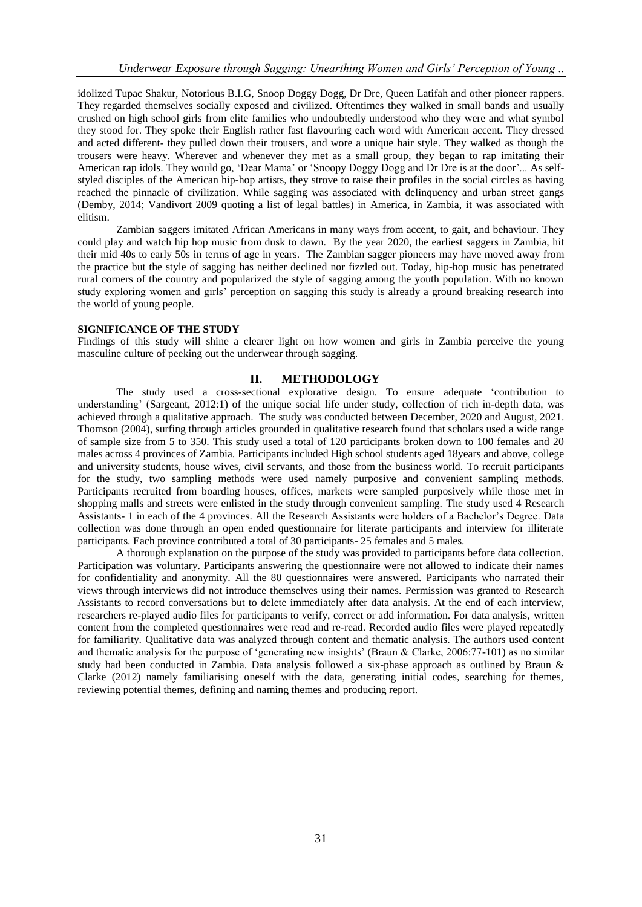idolized Tupac Shakur, Notorious B.I.G, Snoop Doggy Dogg, Dr Dre, Queen Latifah and other pioneer rappers. They regarded themselves socially exposed and civilized. Oftentimes they walked in small bands and usually crushed on high school girls from elite families who undoubtedly understood who they were and what symbol they stood for. They spoke their English rather fast flavouring each word with American accent. They dressed and acted different- they pulled down their trousers, and wore a unique hair style. They walked as though the trousers were heavy. Wherever and whenever they met as a small group, they began to rap imitating their American rap idols. They would go, 'Dear Mama' or 'Snoopy Doggy Dogg and Dr Dre is at the door'... As selfstyled disciples of the American hip-hop artists, they strove to raise their profiles in the social circles as having reached the pinnacle of civilization. While sagging was associated with delinquency and urban street gangs (Demby, 2014; Vandivort 2009 quoting a list of legal battles) in America, in Zambia, it was associated with elitism.

Zambian saggers imitated African Americans in many ways from accent, to gait, and behaviour. They could play and watch hip hop music from dusk to dawn. By the year 2020, the earliest saggers in Zambia, hit their mid 40s to early 50s in terms of age in years. The Zambian sagger pioneers may have moved away from the practice but the style of sagging has neither declined nor fizzled out. Today, hip-hop music has penetrated rural corners of the country and popularized the style of sagging among the youth population. With no known study exploring women and girls' perception on sagging this study is already a ground breaking research into the world of young people.

## **SIGNIFICANCE OF THE STUDY**

Findings of this study will shine a clearer light on how women and girls in Zambia perceive the young masculine culture of peeking out the underwear through sagging.

# **II. METHODOLOGY**

The study used a cross-sectional explorative design. To ensure adequate 'contribution to understanding' (Sargeant, 2012:1) of the unique social life under study, collection of rich in-depth data, was achieved through a qualitative approach. The study was conducted between December, 2020 and August, 2021. Thomson (2004), surfing through articles grounded in qualitative research found that scholars used a wide range of sample size from 5 to 350. This study used a total of 120 participants broken down to 100 females and 20 males across 4 provinces of Zambia. Participants included High school students aged 18years and above, college and university students, house wives, civil servants, and those from the business world. To recruit participants for the study, two sampling methods were used namely purposive and convenient sampling methods. Participants recruited from boarding houses, offices, markets were sampled purposively while those met in shopping malls and streets were enlisted in the study through convenient sampling. The study used 4 Research Assistants- 1 in each of the 4 provinces. All the Research Assistants were holders of a Bachelor's Degree. Data collection was done through an open ended questionnaire for literate participants and interview for illiterate participants. Each province contributed a total of 30 participants- 25 females and 5 males.

A thorough explanation on the purpose of the study was provided to participants before data collection. Participation was voluntary. Participants answering the questionnaire were not allowed to indicate their names for confidentiality and anonymity. All the 80 questionnaires were answered. Participants who narrated their views through interviews did not introduce themselves using their names. Permission was granted to Research Assistants to record conversations but to delete immediately after data analysis. At the end of each interview, researchers re-played audio files for participants to verify, correct or add information. For data analysis, written content from the completed questionnaires were read and re-read. Recorded audio files were played repeatedly for familiarity. Qualitative data was analyzed through content and thematic analysis. The authors used content and thematic analysis for the purpose of 'generating new insights' (Braun & Clarke, 2006:77-101) as no similar study had been conducted in Zambia. Data analysis followed a six-phase approach as outlined by Braun & Clarke (2012) namely familiarising oneself with the data, generating initial codes, searching for themes, reviewing potential themes, defining and naming themes and producing report.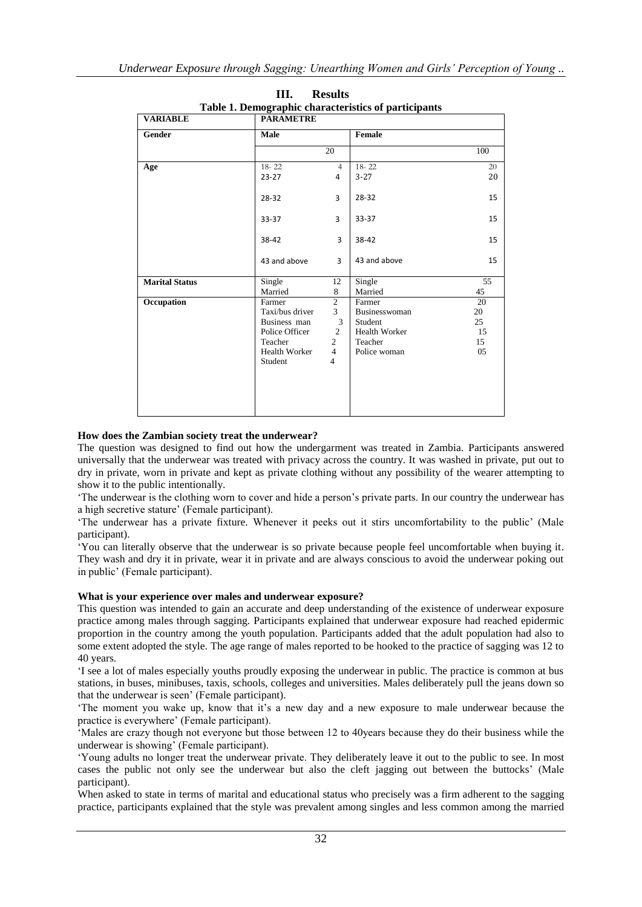| Table 1. Demographic characteristics of participants |                  |                |                      |     |
|------------------------------------------------------|------------------|----------------|----------------------|-----|
| <b>VARIABLE</b>                                      | <b>PARAMETRE</b> |                |                      |     |
| Gender                                               | Male             |                | Female               |     |
|                                                      |                  | 20             |                      | 100 |
| Age                                                  | $18 - 22$        | $\overline{4}$ | $18 - 22$            | 20  |
|                                                      | $23 - 27$        | 4              | $3 - 27$             | 20  |
|                                                      | 28-32            | 3              | 28-32                | 15  |
|                                                      | 33-37            | 3              | 33-37                | 15  |
|                                                      | 38-42            | 3              | 38-42                | 15  |
|                                                      | 43 and above     | 3              | 43 and above         | 15  |
| <b>Marital Status</b>                                | Single           | 12             | Single               | 55  |
|                                                      | Married          | 8              | Married              | 45  |
| Occupation                                           | Farmer           | $\overline{2}$ | Farmer               | 20  |
|                                                      | Taxi/bus driver  | $\overline{3}$ | Businesswoman        | 20  |
|                                                      | Business man     | 3              | Student              | 25  |
|                                                      | Police Officer   | $\overline{2}$ | <b>Health Worker</b> | 15  |
|                                                      | Teacher          | 2              | Teacher              | 15  |
|                                                      | Health Worker    | $\overline{4}$ | Police woman         | 05  |
|                                                      | Student          | 4              |                      |     |
|                                                      |                  |                |                      |     |
|                                                      |                  |                |                      |     |
|                                                      |                  |                |                      |     |

**III. Results Table 1. Demographic characteristics of participants**

# **How does the Zambian society treat the underwear?**

The question was designed to find out how the undergarment was treated in Zambia. Participants answered universally that the underwear was treated with privacy across the country. It was washed in private, put out to dry in private, worn in private and kept as private clothing without any possibility of the wearer attempting to show it to the public intentionally.

'The underwear is the clothing worn to cover and hide a person's private parts. In our country the underwear has a high secretive stature' (Female participant).

'The underwear has a private fixture. Whenever it peeks out it stirs uncomfortability to the public' (Male participant).

'You can literally observe that the underwear is so private because people feel uncomfortable when buying it. They wash and dry it in private, wear it in private and are always conscious to avoid the underwear poking out in public' (Female participant).

#### **What is your experience over males and underwear exposure?**

This question was intended to gain an accurate and deep understanding of the existence of underwear exposure practice among males through sagging. Participants explained that underwear exposure had reached epidermic proportion in the country among the youth population. Participants added that the adult population had also to some extent adopted the style. The age range of males reported to be hooked to the practice of sagging was 12 to 40 years.

'I see a lot of males especially youths proudly exposing the underwear in public. The practice is common at bus stations, in buses, minibuses, taxis, schools, colleges and universities. Males deliberately pull the jeans down so that the underwear is seen' (Female participant).

'The moment you wake up, know that it's a new day and a new exposure to male underwear because the practice is everywhere' (Female participant).

'Males are crazy though not everyone but those between 12 to 40years because they do their business while the underwear is showing' (Female participant).

'Young adults no longer treat the underwear private. They deliberately leave it out to the public to see. In most cases the public not only see the underwear but also the cleft jagging out between the buttocks' (Male participant).

When asked to state in terms of marital and educational status who precisely was a firm adherent to the sagging practice, participants explained that the style was prevalent among singles and less common among the married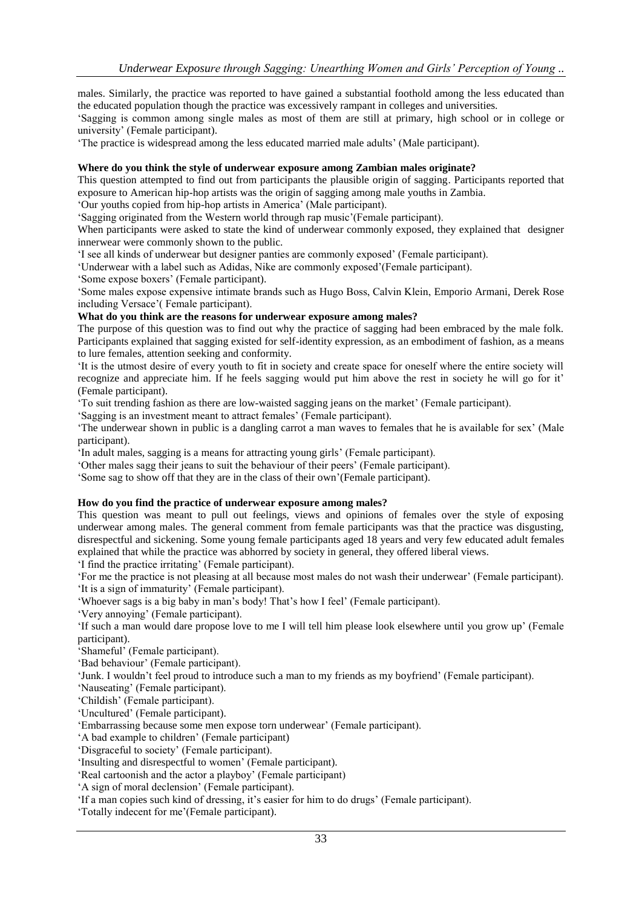males. Similarly, the practice was reported to have gained a substantial foothold among the less educated than the educated population though the practice was excessively rampant in colleges and universities.

'Sagging is common among single males as most of them are still at primary, high school or in college or university' (Female participant).

'The practice is widespread among the less educated married male adults' (Male participant).

## **Where do you think the style of underwear exposure among Zambian males originate?**

This question attempted to find out from participants the plausible origin of sagging. Participants reported that exposure to American hip-hop artists was the origin of sagging among male youths in Zambia.

'Our youths copied from hip-hop artists in America' (Male participant).

'Sagging originated from the Western world through rap music'(Female participant).

When participants were asked to state the kind of underwear commonly exposed, they explained that designer innerwear were commonly shown to the public.

'I see all kinds of underwear but designer panties are commonly exposed' (Female participant).

'Underwear with a label such as Adidas, Nike are commonly exposed'(Female participant).

'Some expose boxers' (Female participant).

'Some males expose expensive intimate brands such as Hugo Boss, Calvin Klein, Emporio Armani, Derek Rose including Versace'( Female participant).

## **What do you think are the reasons for underwear exposure among males?**

The purpose of this question was to find out why the practice of sagging had been embraced by the male folk. Participants explained that sagging existed for self-identity expression, as an embodiment of fashion, as a means to lure females, attention seeking and conformity.

'It is the utmost desire of every youth to fit in society and create space for oneself where the entire society will recognize and appreciate him. If he feels sagging would put him above the rest in society he will go for it' (Female participant).

'To suit trending fashion as there are low-waisted sagging jeans on the market' (Female participant).

'Sagging is an investment meant to attract females' (Female participant).

'The underwear shown in public is a dangling carrot a man waves to females that he is available for sex' (Male participant).

'In adult males, sagging is a means for attracting young girls' (Female participant).

'Other males sagg their jeans to suit the behaviour of their peers' (Female participant).

'Some sag to show off that they are in the class of their own'(Female participant).

#### **How do you find the practice of underwear exposure among males?**

This question was meant to pull out feelings, views and opinions of females over the style of exposing underwear among males. The general comment from female participants was that the practice was disgusting, disrespectful and sickening. Some young female participants aged 18 years and very few educated adult females explained that while the practice was abhorred by society in general, they offered liberal views.

'I find the practice irritating' (Female participant).

'For me the practice is not pleasing at all because most males do not wash their underwear' (Female participant). 'It is a sign of immaturity' (Female participant).

'Whoever sags is a big baby in man's body! That's how I feel' (Female participant).

'Very annoying' (Female participant).

'If such a man would dare propose love to me I will tell him please look elsewhere until you grow up' (Female participant).

'Shameful' (Female participant).

'Bad behaviour' (Female participant).

'Junk. I wouldn't feel proud to introduce such a man to my friends as my boyfriend' (Female participant).

'Nauseating' (Female participant).

'Childish' (Female participant).

'Uncultured' (Female participant).

'Embarrassing because some men expose torn underwear' (Female participant).

'A bad example to children' (Female participant)

'Disgraceful to society' (Female participant).

'Insulting and disrespectful to women' (Female participant).

'Real cartoonish and the actor a playboy' (Female participant)

'A sign of moral declension' (Female participant).

'If a man copies such kind of dressing, it's easier for him to do drugs' (Female participant).

'Totally indecent for me'(Female participant).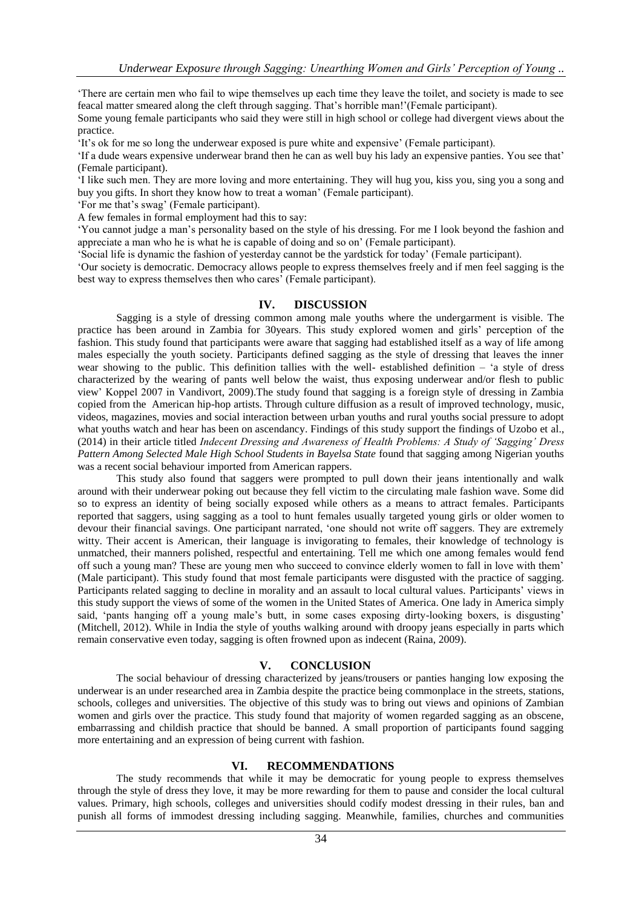'There are certain men who fail to wipe themselves up each time they leave the toilet, and society is made to see feacal matter smeared along the cleft through sagging. That's horrible man!'(Female participant).

Some young female participants who said they were still in high school or college had divergent views about the practice.

'It's ok for me so long the underwear exposed is pure white and expensive' (Female participant).

'If a dude wears expensive underwear brand then he can as well buy his lady an expensive panties. You see that' (Female participant).

'I like such men. They are more loving and more entertaining. They will hug you, kiss you, sing you a song and buy you gifts. In short they know how to treat a woman' (Female participant).

'For me that's swag' (Female participant).

A few females in formal employment had this to say:

'You cannot judge a man's personality based on the style of his dressing. For me I look beyond the fashion and appreciate a man who he is what he is capable of doing and so on' (Female participant).

'Social life is dynamic the fashion of yesterday cannot be the yardstick for today' (Female participant).

'Our society is democratic. Democracy allows people to express themselves freely and if men feel sagging is the best way to express themselves then who cares' (Female participant).

#### **IV. DISCUSSION**

Sagging is a style of dressing common among male youths where the undergarment is visible. The practice has been around in Zambia for 30years. This study explored women and girls' perception of the fashion. This study found that participants were aware that sagging had established itself as a way of life among males especially the youth society. Participants defined sagging as the style of dressing that leaves the inner wear showing to the public. This definition tallies with the well- established definition – 'a style of dress characterized by the wearing of pants well below the waist, thus exposing underwear and/or flesh to public view' Koppel 2007 in Vandivort, 2009).The study found that sagging is a foreign style of dressing in Zambia copied from the American hip-hop artists. Through culture diffusion as a result of improved technology, music, videos, magazines, movies and social interaction between urban youths and rural youths social pressure to adopt what youths watch and hear has been on ascendancy. Findings of this study support the findings of Uzobo et al., (2014) in their article titled *Indecent Dressing and Awareness of Health Problems: A Study of 'Sagging' Dress Pattern Among Selected Male High School Students in Bayelsa State* found that sagging among Nigerian youths was a recent social behaviour imported from American rappers.

This study also found that saggers were prompted to pull down their jeans intentionally and walk around with their underwear poking out because they fell victim to the circulating male fashion wave. Some did so to express an identity of being socially exposed while others as a means to attract females. Participants reported that saggers, using sagging as a tool to hunt females usually targeted young girls or older women to devour their financial savings. One participant narrated, 'one should not write off saggers. They are extremely witty. Their accent is American, their language is invigorating to females, their knowledge of technology is unmatched, their manners polished, respectful and entertaining. Tell me which one among females would fend off such a young man? These are young men who succeed to convince elderly women to fall in love with them' (Male participant). This study found that most female participants were disgusted with the practice of sagging. Participants related sagging to decline in morality and an assault to local cultural values. Participants' views in this study support the views of some of the women in the United States of America. One lady in America simply said, 'pants hanging off a young male's butt, in some cases exposing dirty-looking boxers, is disgusting' (Mitchell, 2012). While in India the style of youths walking around with droopy jeans especially in parts which remain conservative even today, sagging is often frowned upon as indecent (Raina, 2009).

## **V. CONCLUSION**

The social behaviour of dressing characterized by jeans/trousers or panties hanging low exposing the underwear is an under researched area in Zambia despite the practice being commonplace in the streets, stations, schools, colleges and universities. The objective of this study was to bring out views and opinions of Zambian women and girls over the practice. This study found that majority of women regarded sagging as an obscene, embarrassing and childish practice that should be banned. A small proportion of participants found sagging more entertaining and an expression of being current with fashion.

#### **VI. RECOMMENDATIONS**

The study recommends that while it may be democratic for young people to express themselves through the style of dress they love, it may be more rewarding for them to pause and consider the local cultural values. Primary, high schools, colleges and universities should codify modest dressing in their rules, ban and punish all forms of immodest dressing including sagging. Meanwhile, families, churches and communities